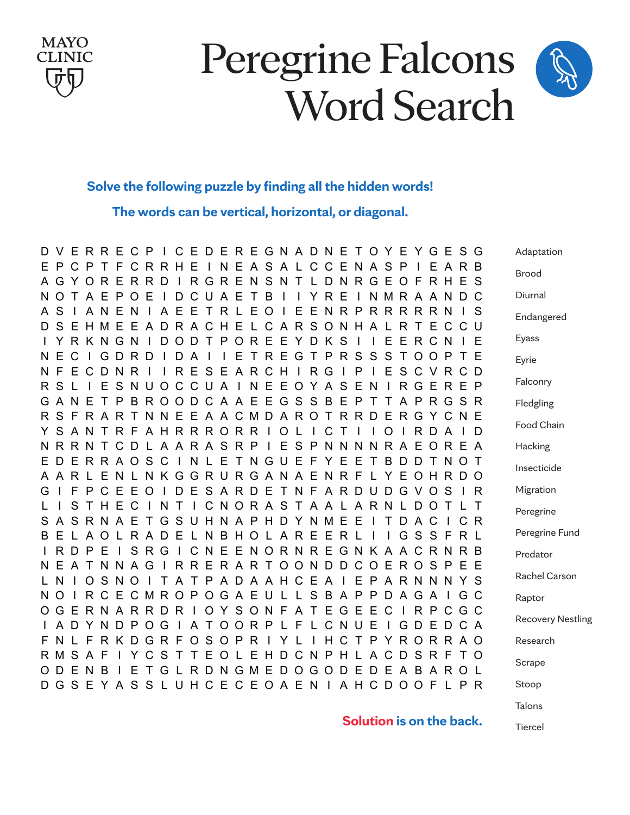

### Peregrine Falcons Word Search

#### **Peregrine Falcons Word Search Solve the following puzzle by finding all the hidden words!**

The words can be vertical, horizontal, or diagonal. **The words can be vertical, horizontal, or diagonal.**

|     |              |         |                              |                |              |          |                 |              |              |              |              |              |          |         |                                |     |              |     | D V E R R E C P I C E D E R E G N A D N E T O Y E Y G E S G                              |              |              |              |                                         |              |          |   |                |              | Adaptation               |
|-----|--------------|---------|------------------------------|----------------|--------------|----------|-----------------|--------------|--------------|--------------|--------------|--------------|----------|---------|--------------------------------|-----|--------------|-----|------------------------------------------------------------------------------------------|--------------|--------------|--------------|-----------------------------------------|--------------|----------|---|----------------|--------------|--------------------------|
|     | F P<br>A G   |         | C P<br>Y O                   | R.             | T F<br>E     |          | <b>RRD</b>      | CRRHE        | $\mathbb{R}$ |              |              |              |          |         |                                |     |              |     | INEASALCCENASP<br>RGRENSNTLDNRGEOFRHES                                                   |              |              |              |                                         | $\mathbf{I}$ |          |   | EARB           |              | Brood                    |
|     | N O          |         | T A E                        |                | P            | $\Omega$ | E               |              | D            |              | CUAETB       |              |          |         |                                |     |              | YRE |                                                                                          | $\mathbf{I}$ |              |              | NMRAANDC                                |              |          |   |                |              | Diurnal                  |
|     | A S<br>D S   | Е       |                              | A N<br>H M     | E<br>E       | N<br>E   | $\mathsf{A}$    | A<br>D.      | E            | E<br>R A C   | $\mathsf{T}$ | R L<br>H E   | E<br>L C | $\circ$ | $\mathbf{I}$<br>$\overline{A}$ | E   | Е            |     | <b>NRP</b><br>RSONHAL                                                                    |              |              |              | <b>RRRRRN</b><br>R.                     | $\top$       | E        |   | C C U          | - S          | Endangered               |
|     |              |         |                              | I Y R K N G N  |              |          |                 | D            |              |              | ODTPOREEYDKS |              |          |         |                                |     |              |     |                                                                                          |              |              | E            |                                         | ERCN         |          |   | $\vdash$ E     |              | Eyass                    |
| N F | N E          | C<br>E. | $\mathbf{L}$<br>$\mathsf{C}$ | G<br>D         | D<br>N       | R.<br>R  | D               | $\mathbf{L}$ | D<br>R.      | AI<br>E      | SEARCHIRG    | $\mathsf{E}$ |          |         |                                |     |              |     | TREGTPRSSST<br>$\mathbf{I}$                                                              | $\mathsf{P}$ | $\mathbf{I}$ | E            | SCVRCD                                  |              |          |   | OOPTE          |              | Eyrie                    |
|     | R S          |         |                              | E              |              | SNU      |                 |              |              |              |              |              |          |         |                                |     |              |     | OCCUAINEEOYASEN                                                                          |              |              |              | I R G E R E P                           |              |          |   |                |              | Falconry                 |
|     |              | G A N   | Е                            | T              | P            | B        | R.              | $\circ$      | $\circ$      |              |              |              |          |         |                                |     |              |     | DCAAEEGSSBEPT                                                                            |              |              | $\mathsf{T}$ |                                         | APRG         |          |   | SR             |              | Fledgling                |
|     | R S          | F.      |                              | R A<br>YSANTRF | R            | T        |                 | AHRRRORRI    |              |              |              |              |          |         |                                | O L |              | C T | NNEEAACMDAROTRRD                                                                         |              |              | $\Omega$     | ERGYCNE                                 | R D          |          | A | $\mathsf{I}$ D |              | Food Chain               |
|     |              | NRRN    |                              | T.             | $\mathsf{C}$ | D        |                 |              |              |              |              |              |          |         |                                |     |              |     | L A A R A S R P I E S P N N N N R A E O R E A                                            |              |              |              |                                         |              |          |   |                |              | Hacking                  |
|     | E D          | E.      | R.                           |                | <b>RAOSC</b> |          |                 |              | $\Box$       |              |              |              |          |         |                                |     |              |     | NLETNGUEFYEE<br>A A R L E N L N K G G R U R G A N A E N R F L Y E O H R D O              |              | $\top$       | B            | DDT                                     |              |          | N | O T            |              | Insecticide              |
| G   | - 1          | E       | P.                           | C              | E            | E.       | $\circ$         | $\mathbf{I}$ | D            |              | ESARDE       |              |          |         |                                |     |              |     | T N F A R D U D G V O                                                                    |              |              |              |                                         |              |          | S | $\overline{R}$ |              | Migration                |
|     | S A          | S.      |                              | H.<br>SRNAE    | F.           | C        | $\mathsf{T}$    | N            | T            | $\mathbf{I}$ |              |              |          |         |                                |     |              |     | CNORASTAALARNLD<br>GSUHNAPHDYNMEE                                                        |              |              |              | TDAC                                    |              | $\Omega$ |   | C <sub>R</sub> | $\mathsf{T}$ | Peregrine                |
| B.  | E            |         | L A                          | $\Omega$       | $\mathbf{L}$ |          | R A             | D            | E.           |              |              |              |          |         |                                |     |              |     | L N B H O L A R E E R L I I                                                              |              |              |              | GSSF                                    |              |          |   | R L            |              | Peregrine Fund           |
|     | IR.<br>N E   | D.<br>A | P                            | Е<br>TNNAG     | $\mathbf{L}$ | S        | $R_{\parallel}$ | G<br>$\Box$  | $\mathbf{I}$ |              |              |              |          |         |                                |     |              |     | CNEENORNREGNKAACRN<br>RRERARTOONDDCOEROSPEE                                              |              |              |              |                                         |              |          |   | R B            |              | Predator                 |
|     | L N          |         |                              | O S            | N            | $\circ$  | -1              |              |              |              |              |              |          |         |                                |     |              |     | T A T P A D A A H C E A I E P A R N N N Y S                                              |              |              |              |                                         |              |          |   |                |              | Rachel Carson            |
|     | N O          |         | R.                           | C.             | F.           |          |                 |              |              |              |              |              |          |         |                                |     |              |     | CMROPOGAEULLSBAPPDAGAI                                                                   |              |              |              |                                         |              |          |   | G C            |              | Raptor                   |
|     | O G<br>A D   | E       | Y                            |                |              |          |                 | RNARRDRI     |              |              |              |              |          |         |                                |     |              |     | OYSONFATEGEECIRPCGC<br>N D P O G I A T O O R P L F L C N U E I G D E D C A               |              |              |              |                                         |              |          |   |                |              | <b>Recovery Nestling</b> |
|     | $\mathsf{N}$ | L F     |                              |                |              |          |                 | RKDGRF       |              |              | OSOPRI       |              |          |         | Y L                            |     | $\mathbf{I}$ |     | HCTPYRORRAO                                                                              |              |              |              |                                         |              |          |   |                |              | Research                 |
|     | R M<br>O D   |         | S A F<br>E N B               |                | $\Box$       | Y<br>E.  |                 | C S T        |              |              |              |              |          |         |                                |     |              |     | T E O L E H D C N P H L A C D S R F T O<br>T G L R D N G M E D O G O D E D E A B A R O L |              |              |              |                                         |              |          |   |                |              | Scrape                   |
|     |              |         |                              |                |              |          |                 |              |              |              |              |              |          |         |                                |     |              |     | D G S E Y A S S L U H C E C E O A E N I A H C D O O F L P R                              |              |              |              |                                         |              |          |   |                |              | Stoop                    |
|     |              |         |                              |                |              |          |                 |              |              |              |              |              |          |         |                                |     |              |     |                                                                                          |              |              |              | الملموما وموالا ويماره فالمتواطئ والمتك |              |          |   |                |              | Talons                   |

**Solution is on the back.**

Tiercel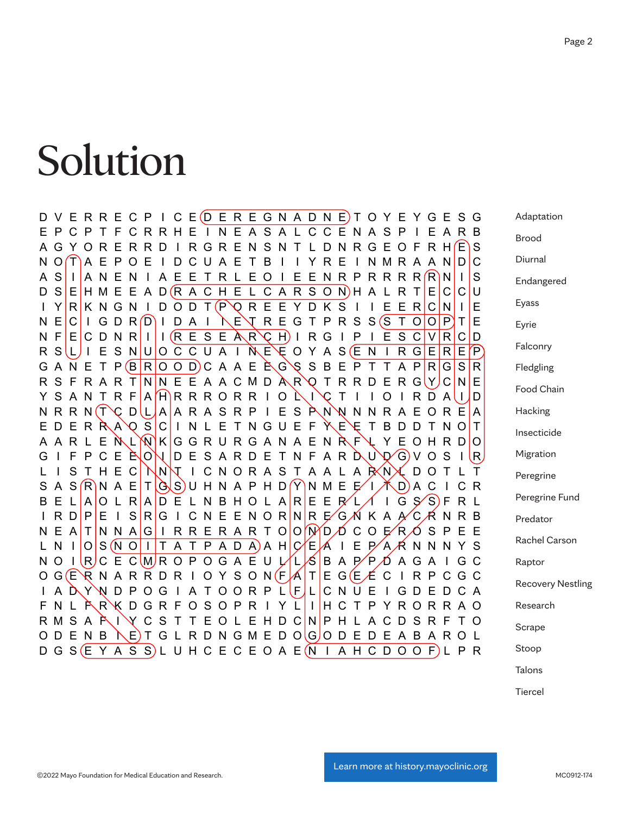#### Solution  $\Omega$  is the following puzzle by finding all the hidden words. The words can be vertical, horizontal, or diagonal.

Adaptation Brood Diurnal Endangered Eyass Eyrie Falconry Fledgling Food Chain **Hacking** Insecticide Migration Peregrine Peregrine Fund Predator Rachel Carson Raptor Recovery Nestling Research Scrape Stoop D V E R R E C P I C E D E R E G N A D N E T O Y E Y G E S G E P C P T F C R R H E I N E A S A L C C E N A S P I E A R B A G Y O R E R R D I R G R E N S N T L D N R G E O F R H (E) S N O T A E P O E I D C U A E T B I I Y R E I N M R A A N D C A S I A N E N I A E E T R L E O I E E N R P R R R R R R N I S  $D S | E | H M E E A D (R A C H E L C A R S O N) H A L R T | E | C | C | U$ I Y R K N G N I D O D T (P Q R E E Y D K S I I E E R C N I I E  $N \in |C|$  I G D R  $(D)$  I D A I  $N \in \mathcal{N}$  R E G T P R S S  $(S \top O |O|P)$  T  $|E$ N F E C D N R I I I (R E S E A R C H) I R G I P I E S C V R C D R S L I E S N U O C C U A I N E E O Y A S E N I R G E R E P G A N E T P  $(B | R | O O D)$ C A A E È G S B E P T T A P  $|R|G|S|R$ R S F R A R T N N E E A A C M D A R O T R R D E R G Y C N E Y S A N T R F A H R R R O R R I O L I C T I I O I R D A I I D N R R N (T C D L A A R A S R P I E S P N N N N R A E O R E A E D E R R A O S C I N L E T N G U E F Y E E T B D D T N O T A R L E N L N K G G R U R G A N A E N R F L Y E O H R D O G I F P C E  $\dot{\mathsf{E}}$  O I I D E S A R D E T N F A R  $\dot{\mathsf{D}}$  U  $\mathsf{D}$  G V O S I I R S T H E C NN T I C N O R A S T A A L A P N L D O T L T S A S  $(R)$ N A E  $|T|$   $(S \mid S)$ U H N A P H D  $(Y)$ N M E E  $/$ I  $\nearrow$  D) A C I C R  $B \in L |A|$ O L R $|A|$ D E L N B H O L A R E E R  $L$   $\cal A$  I G S  $\cal S$  S F R L I R D P E I S R G I C N E E N O R N R E G N K A A C R N R B N E A T N N A G I R R E R A R T O O N D O C C E R O S P E E L N I O S (N O I T A T P A D A) A H C E A I E P A A N N N Y S N O I R C E C M R O P O G A E U L L S B A P P O A G A I G C O G E R N A R R D R I O Y S O N F A T E G E  $\mathcal L$  C I R P C G C I A D Y N D P O G I A T O O R P L F L C N U E I G D E D C A F N L F R K D G R F O S O P R I Y L I H C T P Y R O R R A O R M S A È I Y C S T T E O L E H D C N P H L A C D S R F T O O D E N B \E)T G L R D N G M E D O G O D E D E A B A R O L  $D G S (E Y A S S) L U H C E C E O A E (N I A H C D O O F) L P R$ 

Talons

Tiercel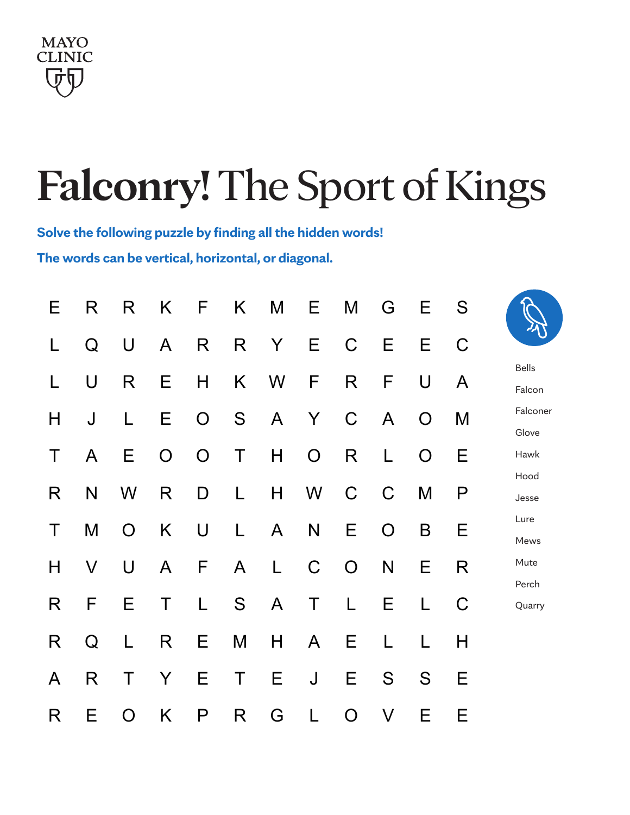

## **Falconry! The Sport of Kings**

Solve the following puzzle by finding all the hidden words! Solve the following puzzle by finding all the hidden words! **The words can be vertical, horizontal, or diagonal.**

|                        | S           | Е              | G              | M              | E              | M   | K. | F              | K              | R              | R | Е            |
|------------------------|-------------|----------------|----------------|----------------|----------------|-----|----|----------------|----------------|----------------|---|--------------|
|                        | $\mathsf C$ | Е              | Е              | $\mathsf C$    | E              | Y . | R  | R              | $\mathsf{A}$   | U              | Q | L            |
| <b>Bells</b><br>Falcon | A           | U              | F              | R              | F              | W   | K  | H              | Е              | R              | U | L            |
| Falconer<br>Glove      | M           | $\overline{O}$ | $\mathsf{A}$   | $\mathsf C$    | Y              | A   | S  | O              | Е              |                | J | H            |
| Hawk                   | Е           | O              | L              | R              | $\overline{O}$ | H   | Τ  | $\overline{O}$ | $\overline{O}$ | Е              | A | Τ            |
| Hood<br>Jesse          | P           | M              | $\mathsf C$    | $\mathsf C$    | W              | H   | L  | D              | R              | W              | N | R            |
| Lure<br>Mews           | Е           | B              | $\overline{O}$ | Е              | N              | A   | L  | U              | K              | $\overline{O}$ | M | $\top$       |
| Mute<br>Perch          | R           | Е              | N              | $\overline{O}$ | $\mathsf C$    | L   | A  | F              | A              | U              | V | Н            |
| Quarry                 | $\mathsf C$ | L              | Ε              | L              | Τ              | A   | S  | L              | Τ              | Е              | F | R            |
|                        | Η           | L              | L              | E              | A              | H   | M  | E.             | R              | L              | Q | R            |
|                        | Е           | S              | S              | Е              | J              | Ε   | Τ  | Е              | Y              | Τ              | R | $\mathsf{A}$ |
|                        | Е           | Е              | V              | O              |                | G   | R  | P              | K              | O              | Ε | R            |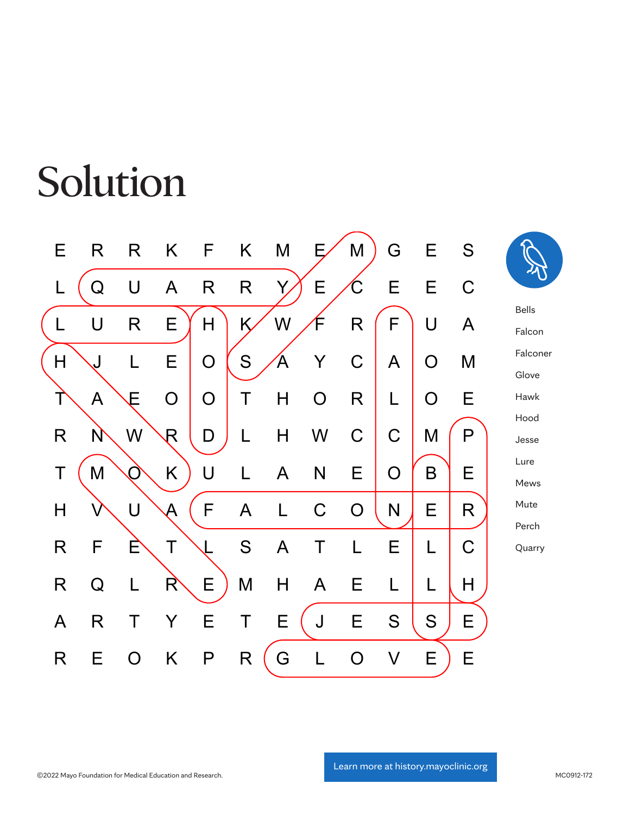#### $\mathbf{S}$  the following puzzle by finding all the hidden words  $\mathbf{S}$  $T<sub>1</sub>$  and  $T<sub>2</sub>$ , or diagonal. Horizontal, or diagonal.  $T<sub>2</sub>$ Solution

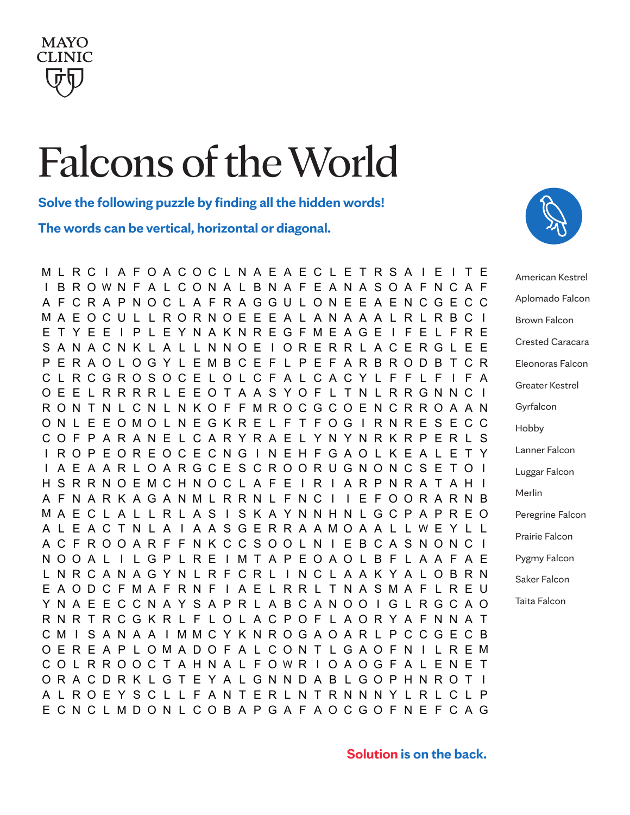

### Falcons of the World

**Solve the following puzzle by finding all the hidden words! Falcons of the World Word Search**

The words can be vertical, horizontal or diagonal. rtical, horizontal or diagonal.

M L R C I A F O A C O C L N A E A E C L E T R S A I E I T E I B R O W N F A L C O N A L B N A F E A N A S O A F N C A F A F C R A P N O C L A F R A G G U L O N E E A E N C G E C C M A E O C U L L R O R N O E E E A L A N A A A L R L R B C I E T Y E E I P L E Y N A K N R E G F M E A G E I F E L F R E S A N A C N K L A L L N N O E I O R E R R L A C E R G L E E P E R A O L O G Y L E M B C E F L P E F A R B R O D B T C R C L R C G R O S O C E L O L C F A L C A C Y L F F L F I F A O E E L R R R R L E E O T A A S Y O F L T N L R R G N N C I R O N T N L C N L N K O F F M R O C G C O E N C R R O A A N O N L E E O M O L N E G K R E L F T F O G I R N R E S E C C C O F P A R A N E L C A R Y R A E L Y N Y N R K R P E R L S I R O P E O R E O C E C N G I N E H F G A O L K E A L E T Y I A E A A R L O A R G C E S C R O O R U G N O N C S E T O I H S R R N O E M C H N O C L A F E I R I A R P N R A T A H I A F N A R K A G A N M L R R N L F N C I I E F O O R A R N B M A E C L A L L R L A S I S K A Y N N H N L G C P A P R E O A L E A C T N L A I A A S G E R R A A M O A A L L W E Y L L A C F R O O A R F F N K C C S O O L N I E B C A S N O N C I N O O A L I L G P L R E I M T A P E O A O L B F L A A F A E L N R C A N A G Y N L R F C R L I N C L A A K Y A L O B R N E A O D C F M A F R N F I A E L R R L T N A S M A F L R E U Y N A E E C C N A Y S A P R L A B C A N O O I G L R G C A O R N R T R C G K R L F L O L A C P O F L A O R Y A F N N A T C M I S A N A A I M M C Y K N R O G A O A R L P C C G E C B O E R E A P L O M A D O F A L C O N T L G A O F N I L R E M C O L R R O O C T A H N A L F O W R I O A O G F A L E N E T O R A C D R K L G T E Y A L G N N D A B L G O P H N R O T I A L R O E Y S C L L F A N T E R L N T R N N N Y L R L C L P E C N C L M D O N L C O B A P G A F A O C G O F N E F C A G



American Kestrel Aplomado Falcon Brown Falcon Crested Caracara Eleonoras Falcon Greater Kestrel Gyrfalcon Hobby Lanner Falcon Luggar Falcon Merlin Peregrine Falcon Prairie Falcon Pygmy Falcon Saker Falcon Taita Falcon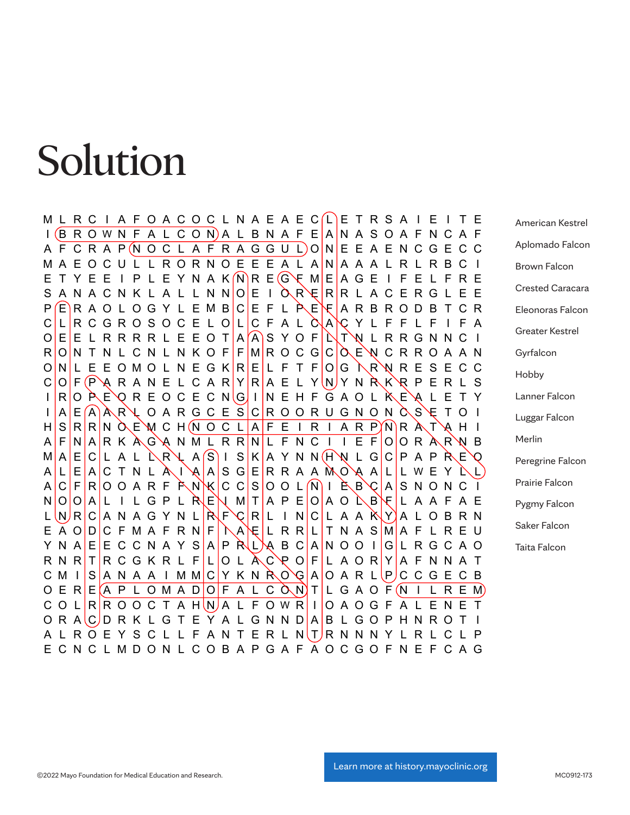#### Solution Solve the following puzzle by finding all the hidden words! The words can be vertical, horizontal, or diagonal.

M L R C I A F O A C O C L N A E A E C (L) E T R S A I E I T E I (B R O W N F A L C O N)A L B N A F E A N A S O A F N C A F A F C R A P (N O C L A F R A G G U L) O N E E A E N C G E C C M A E O C U L L R O R N O E E E A L A N A A A L R L R B C I E T Y E E I P L E Y N A K N R E G F M E A G E I F E L F R E S A N A C N K L A L L N N O E I O R E R L A C E R G L E E P E R A O L O G Y L E M B C E F L P E F A R B R O D B T C R C L R C G R O S O C E L O L C F A L Q A C Y L F F L F I F A O E E L R R R R L E E O T A A S Y O F N T N L R R G N N C I R O N T N L C N L N K O F F M R O C G C Q C A E N C R R O A A N O N L E E O M O L N E G K R E L F T F O G L R N R E S E C C  $C$  O F (P  $\setminus$  R A N E L C A R Y R A E L Y N Y N  $R$  K  $\setminus$  R P E R L S I R O P E O R E O C E C N G I N E H F G A O L P E A L E T Y  $I | A | E | A | A R \setminus Q A R G C E S | C | R O O R U G N O N \bigcirc S \setminus F$  T O I H S R R N O E W C H (N O C L A F E I R I A R P) N R A T A H I A F N A R K A G A N M L R R N L F N C I I E F O O R A R N B  $M | A | E | C | L A L \nLambda R \nbrace R S | I S | K | A Y N N (H) N L G | C | P A P R E Q$ A L E A C T N L À I A A S G E R R A A MO A A L L W E Y L L  $A\,C\,F\,R\,O\,O\,A\,R\,F\,\tilde{P}\,N\,N\,C\,C\,S\,O\,O\,L\,N\,I\,\tilde{P}\,B\,C\,A\,S\,N\,O\,N\,C\,I$ N O O A L I L G P L R EN M T A P E O A O L B F L A A F A E L  $\lfloor N \rfloor$   $\lfloor R \rfloor$   $\lfloor C \rfloor$   $\lfloor A \rfloor$   $\lfloor N \rfloor$   $\lfloor C \rfloor$   $\lfloor N \rfloor$   $\lfloor C \rfloor$   $\lfloor A \rfloor$   $\lfloor A \rfloor$   $\lfloor A \rfloor$   $\lfloor C \rfloor$   $\lfloor A \rfloor$   $\lfloor C \rfloor$   $\lfloor A \rfloor$   $\lfloor C \rfloor$   $\lfloor A \rfloor$   $\lfloor C \rfloor$   $\lfloor A \rfloor$   $\lfloor C \rfloor$   $\lfloor A \rfloor$   $\lfloor C \rfloor$ E A O D C F M A F R N F I NA E L R R L T N A S M A F L R E U Y N A E E C C N A Y S A P R L A B C A N O O I G L R G C A O R N R T R C G K R L F L O L A C P O F L A O R Y A F N N A T C M I S A N A A I M M C Y K N R O G A O A R L P C C G E C B O E R E  $(A \, P \, L \, O \, M \, A \, D \, O \, F \, A \, L \, C \, \tilde{O} \, N)$  T  $|L \, G \, A \, O \, F \, (N \, I \, L \, R \, E \, M)$ C O L R R O O C T A H N A L F O W R I O A O G F A L E N E T O R A C D R K L G T E Y A L G N N D A B L G O P H N R O T I A L R O E Y S C L L F A N T E R L N T R N N N Y L R L C L P E C N C L M D O N L C O B A P G A F A O C G O F N E F C A G American Kestrel Aplomado Falcon Brown Falcon Crested Caracara Eleonoras Falcon Greater Kestrel Gyrfalcon Hobby Lanner Falcon Luggar Falcon Merlin Peregrine Falcon Prairie Falcon Pygmy Falcon Saker Falcon Taita Falcon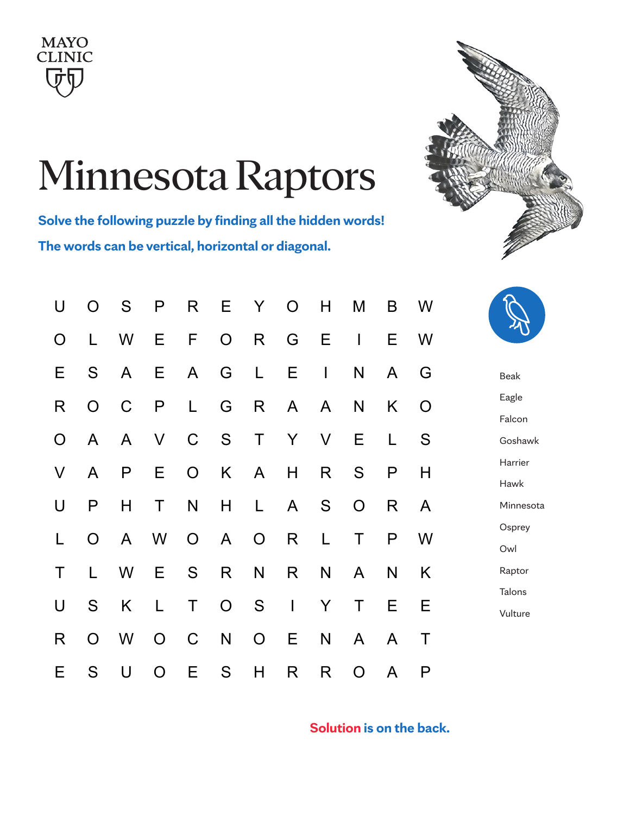



# Minnesota Raptors

**Solve the following puzzle by finding all the hidden words!** Solve the following puzzle by finding all the hidden words! **The words can be vertical, horizontal or diagonal.** The words can be vertical, horizontal, or diagonal.

| U            |   | O S P R E Y O H     |                 |  |  | M                 | $\mathsf{B}$ | W              |  |
|--------------|---|---------------------|-----------------|--|--|-------------------|--------------|----------------|--|
| O            |   |                     |                 |  |  | L W E F O R G E I |              | E W            |  |
| E            | S |                     | A E A G L E I   |  |  | N                 | $\mathsf{A}$ | G              |  |
| $\mathsf{R}$ |   | O C P L G R A A     |                 |  |  | N                 | K.           | $\overline{O}$ |  |
|              |   | O A A V C S T Y V E |                 |  |  |                   | $\mathsf{L}$ | S              |  |
| V            |   | A P E O K A H       |                 |  |  | R S P             |              | H              |  |
| U            | P |                     | H T N H L A S O |  |  |                   | R            | $\mathsf{A}$   |  |
| $\mathsf{L}$ |   | O A W O A O R L     |                 |  |  | T                 | P —          | W              |  |
| T.           |   |                     |                 |  |  | L W E S R N R N A | N            | K              |  |
| U            |   | S K L T             |                 |  |  | O S I Y T E       |              | E              |  |
| R.           |   | O W O C N O E       |                 |  |  | N A               | $\mathsf{A}$ | $\top$         |  |
| E.           |   | S U O E S H         |                 |  |  | R R O             | $\mathsf{A}$ | P              |  |



Beak Eagle Falcon Goshawk Harrier Hawk Minnesota **Osprey** Owl Raptor Talons Vulture

**Solution is on the back.**